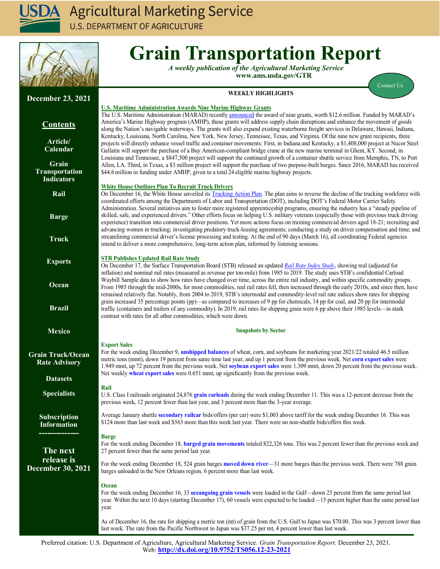

**U.S. DEPARTMENT OF AGRICULTURE** 



# **Grain Transportation Report**

*A weekly publication of the Agricultural Marketing Service*  **www.ams.usda.gov/GTR**

[Contact Us](mailto:Surajudeen.Olowolayemo@ams.usda.gov) 

# **WEEKLY HIGHLIGHTS**

## **U.S. Maritime Administration Awards Nine Marine Highway Grants**

The U.S. Maritime Administration (MARAD) recently **[announced](https://www.maritime.dot.gov/newsroom/press-releases/us-transportation-secretary-pete-buttigieg-announces-126-million-grants)** the award of nine grants, worth \$12.6 million. Funded by MARAD's America's Marine Highway program (AMHP), these grants will address supply chain disruptions and enhance the movement of goods along the Nation's navigable waterways. The grants will also expand existing waterborne freight services in Delaware, Hawaii, Indiana, Kentucky, Louisiana, North Carolina, New York, New Jersey, Tennessee, Texas, and Virginia. Of the nine new grant recipients, three projects will directly enhance vessel traffic and container movements: First, in Indiana and Kentucky, a \$1,408,000 project at Nucor Steel Gallatin will support the purchase of a Buy American-compliant bridge crane at the new marine terminal in Ghent, KY. Second, in Louisiana and Tennessee, a \$847,500 project will support the continued growth of a container shuttle service from Memphis, TN, to Port Allen, LA. Third, in Texas, a \$3 million project will support the purchase of two purpose-built barges. Since 2016, MARAD has received \$44.6 million in funding under AMHP, given to a total 24 eligible marine highway projects.

#### **White House Outlines Plan To Recruit Truck Drivers**

On December 16, the White House unveiled its **Trucking Action Plan**. The plan aims to reverse the decline of the trucking workforce with coordinated efforts among the Departments of Labor and Transportation (DOT), including DOT's Federal Motor Carrier Safety Administration. Several initiatives aim to foster more registered apprenticeship programs, ensuring the industry has a "steady pipeline of skilled, safe, and experienced drivers." Other efforts focus on helping U.S. military veterans (especially those with previous truck driving experience) transition into commercial driver positions. Yet more actions focus on training commercial drivers aged 18-21; recruiting and advancing women in trucking; investigating predatory truck-leasing agreements; conducting a study on driver compensation and time; and streamlining commercial driver's license processing and testing. At the end of 90 days (March 16), all coordinating Federal agencies intend to deliver a more comprehensive, long-term action plan, informed by listening sessions.

#### **STB Publishes Updated Rail Rate Study**

On December 17, the Surface Transportation Board (STB) released an updated *[Rail Rate Index Study](https://www.stb.gov/reports-data/reports-studies/)*, showing real (adjusted for inflation) and nominal rail rates (measured as revenue per ton-mile) from 1985 to 2019. The study uses STB's confidential Carload Waybill Sample data to show how rates have changed over time, across the entire rail industry, and within specific commodity groups. From 1985 through the mid-2000s, for most commodities, real rail rates fell, then increased through the early 2010s, and since then, have remained relatively flat. Notably, from 2004 to 2019, STB's intermodal and commodity-level rail rate indices show rates for shipping grain increased 35 percentage points (pp)—as compared to increases of 9 pp for chemicals, 14 pp for coal, and 20 pp for intermodal traffic (containers and trailers of any commodity). In 2019, rail rates for shipping grain were 6 pp above their 1985 levels—in stark contrast with rates for all other commodities, which were down.

#### **Snapshots by Sector**

#### **Export Sales**

For the week ending December 9, **[unshipped balances](#page-13-1)** of wheat, corn, and soybeans for marketing year 2021/22 totaled 46.5 million metric tons (mmt), down 19 percent from same time last year, and up 1 percent from the previous week. Net **[corn export sales](#page-13-1)** were 1.949 mmt, up 72 percent from the previous week. Net **[soybean export sales](#page-14-0)** were 1.309 mmt, down 20 percent from the previous week. Net weekly **[wheat export sales](#page-14-0)** were 0.651 mmt, up significantly from the previous week.

#### **Rail**

U.S. Class I railroads originated 24,876 **[grain carloads](#page-4-0)** during the week ending December 11. This was a 12-percent decrease from the previous week, 12 percent fewer than last year, and 3 percent more than the 3-year average.

Average January shuttle **[secondary railcar](#page-6-0)** bids/offers (per car) were \$1,003 above tariff for the week ending December 16. This was \$124 more than last week and \$563 more than this week last year. There were no non-shuttle bids/offers this week.

#### **Barge**

For the week ending December 18, **[barged grain movements](#page-10-0)** totaled 822,326 tons. This was 2 percent fewer than the previous week and 27 percent fewer than the same period last year.

For the week ending December 18, 524 grain barges **[moved down river](#page-11-0)**—31 more barges than the previous week. There were 788 grain barges unloaded in the New Orleans region, 6 percent more than last week.

#### **Ocean**

For the week ending December 16, 33 **[oceangoing grain vessels](#page-17-1)** were loaded in the Gulf—down 23 percent from the same period last year. Within the next 10 days (starting December 17), 60 vessels were expected to be loaded—15 percent higher than the same period last year.

As of December 16, the rate for shipping a metric ton (mt) of grain from the U.S. Gulf to Japan was \$70.00. This was 3 percent lower than last week. The rate from the Pacific Northwest to Japan was \$37.25 per mt, 4 percent lower than last week.

Preferred citation: U.S. Department of Agriculture, Agricultural Marketing Service*. Grain Transportation Report.* December 23, 2021. We[b:](http://dx.doi.org/10.9752/TS056.08-04-2016) **[http://dx.doi.org/10.9752/TS056.12](http://dx.doi.org/10.9752/TS056.12-23-2021)-23-2021**

# **December 23, 2021**

# **Contents**

**[Article/](#page-1-0) [Calendar](#page-1-0)**

**[Grain](#page-2-0) [Transportation](#page-2-0) [Indicators](#page-2-0)**

**[Rail](#page-3-0)**

**[Barge](#page-9-0)**

**[Truck](#page-12-0)**

**[Exports](#page-13-0)**

**[Ocean](#page-17-0)**

**[Brazil](https://www.ams.usda.gov/services/transportation-analysis/brazil)**

**[Mexico](https://www.ams.usda.gov/services/transportation-analysis/mexico)**

#### **[Grain Truck/Ocean](https://www.ams.usda.gov/services/transportation-analysis/gtor) [Rate Advisory](https://www.ams.usda.gov/services/transportation-analysis/gtor)**

**[Dataset](https://www.ams.usda.gov/services/transportation-analysis/gtr-datasets)s**

**[Specialists](#page-20-0)**

**[Subscription](#page-20-0)  [Information](#page-20-0)**

**--------------**

**The next release is December 30, 2021**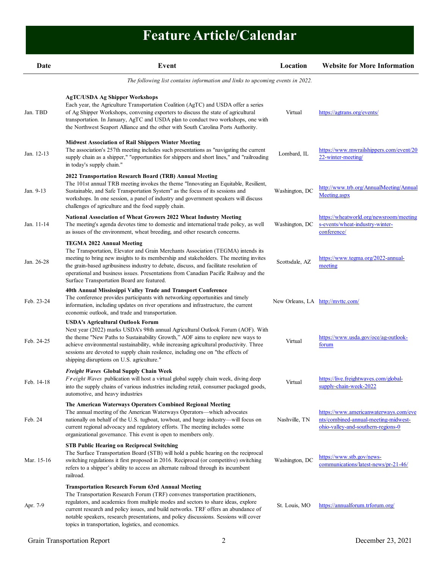# **Feature Article/Calendar**

<span id="page-1-0"></span>

| Date       | Event                                                                                                                                                                                                                                                                                                                                                                                                                                                                 | Location                          | <b>Website for More Information</b>                                                                                 |
|------------|-----------------------------------------------------------------------------------------------------------------------------------------------------------------------------------------------------------------------------------------------------------------------------------------------------------------------------------------------------------------------------------------------------------------------------------------------------------------------|-----------------------------------|---------------------------------------------------------------------------------------------------------------------|
|            | The following list contains information and links to upcoming events in 2022.                                                                                                                                                                                                                                                                                                                                                                                         |                                   |                                                                                                                     |
| Jan. TBD   | <b>AgTC/USDA Ag Shipper Workshops</b><br>Each year, the Agriculture Transportation Coalition (AgTC) and USDA offer a series<br>of Ag Shipper Workshops, convening exporters to discuss the state of agricultural<br>transportation. In January, AgTC and USDA plan to conduct two workshops, one with<br>the Northwest Seaport Alliance and the other with South Carolina Ports Authority.                                                                            | Virtual                           | https://agtrans.org/events/                                                                                         |
| Jan. 12-13 | <b>Midwest Association of Rail Shippers Winter Meeting</b><br>The association's 257th meeting includes such presentations as "navigating the current<br>supply chain as a shipper," "opportunities for shippers and short lines," and "railroading<br>in today's supply chain."                                                                                                                                                                                       | Lombard, IL                       | https://www.mwrailshippers.com/event/20<br>22-winter-meeting                                                        |
| Jan. 9-13  | 2022 Transportation Research Board (TRB) Annual Meeting<br>The 101st annual TRB meeting invokes the theme "Innovating an Equitable, Resilient,<br>Sustainable, and Safe Transportation System" as the focus of its sessions and<br>workshops. In one session, a panel of industry and government speakers will discuss<br>challenges of agriculture and the food supply chain.                                                                                        | Washington, DC                    | http://www.trb.org/AnnualMeeting/Annual<br>Meeting.aspx                                                             |
| Jan. 11-14 | <b>National Association of Wheat Growers 2022 Wheat Industry Meeting</b><br>The meeting's agenda devotes time to domestic and international trade policy, as well<br>as issues of the environment, wheat breeding, and other research concerns.                                                                                                                                                                                                                       | Washington, DC                    | https://wheatworld.org/newsroom/meeting<br>s-events/wheat-industry-winter-<br>conference/                           |
| Jan. 26-28 | <b>TEGMA 2022 Annual Meeting</b><br>The Transportation, Elevator and Grain Merchants Association (TEGMA) intends its<br>meeting to bring new insights to its membership and stakeholders. The meeting invites<br>the grain-based agribusiness industry to debate, discuss, and facilitate resolution of<br>operational and business issues. Presentations from Canadian Pacific Railway and the<br>Surface Transportation Board are featured.                         | Scottsdale, AZ                    | https://www.tegma.org/2022-annual-<br>meeting                                                                       |
| Feb. 23-24 | 40th Annual Mississippi Valley Trade and Transport Conference<br>The conference provides participants with networking opportunities and timely<br>information, including updates on river operations and infrastructure, the current<br>economic outlook, and trade and transportation.                                                                                                                                                                               | New Orleans, LA http://mvttc.com/ |                                                                                                                     |
| Feb. 24-25 | <b>USDA's Agricultural Outlook Forum</b><br>Next year (2022) marks USDA's 98th annual Agricultural Outlook Forum (AOF). With<br>the theme "New Paths to Sustainability Growth," AOF aims to explore new ways to<br>achieve environmental sustainability, while increasing agricultural productivity. Three<br>sessions are devoted to supply chain resilence, including one on "the effects of<br>shipping disruptions on U.S. agriculture."                          | Virtual                           | https://www.usda.gov/oce/ag-outlook-<br>forum                                                                       |
| Feb. 14-18 | Freight Waves Global Supply Chain Week<br>Freight Waves publication will host a virtual global supply chain week, diving deep<br>into the supply chains of various industries including retail, consumer packaged goods,<br>automotive, and heavy industries                                                                                                                                                                                                          | Virtual                           | https://live.freightwaves.com/global-<br>supply-chain-week-2022                                                     |
| Feb. 24    | The American Waterways Operators Combined Regional Meeting<br>The annual meeting of the American Waterways Operators—which advocates<br>nationally on behalf of the U.S. tugboat, towboat, and barge industry-will focus on<br>current regional advocacy and regulatory efforts. The meeting includes some<br>organizational governance. This event is open to members only.                                                                                          | Nashville, TN                     | https://www.americanwaterways.com/eve<br>nts/combined-annual-meeting-midwest-<br>ohio-valley-and-southern-regions-0 |
| Mar. 15-16 | <b>STB Public Hearing on Reciprocal Switching</b><br>The Surface Transportation Board (STB) will hold a public hearing on the reciprocal<br>switching regulations it first proposed in 2016. Reciprocal (or competitive) switching<br>refers to a shipper's ability to access an alternate railroad through its incumbent<br>railroad.                                                                                                                                | Washington, DC                    | https://www.stb.gov/news-<br>communications/latest-news/pr-21-46/                                                   |
| Apr. 7-9   | <b>Transportation Research Forum 63rd Annual Meeting</b><br>The Transportation Research Forum (TRF) convenes transportation practitioners,<br>regulators, and academics from multiple modes and sectors to share ideas, explore<br>current research and policy issues, and build networks. TRF offers an abundance of<br>notable speakers, research presentations, and policy discussions. Sessions will cover<br>topics in transportation, logistics, and economics. | St. Louis, MO                     | https://annualforum.trforum.org/                                                                                    |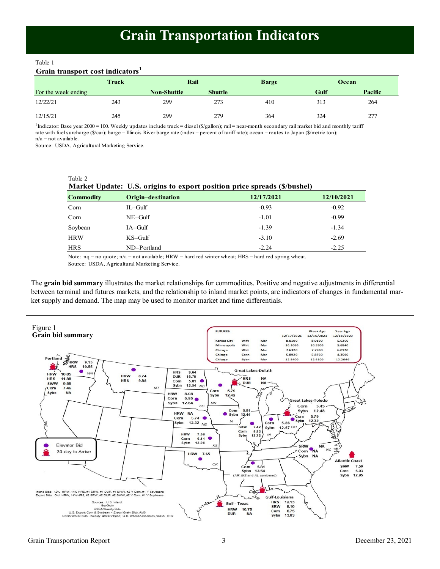# **Grain Transportation Indicators**

<span id="page-2-0"></span>Table 1

# **Grain transport cost indicators<sup>1</sup>**

|                     | Truck | Rail               |                | <b>Barge</b> | Ocean |         |
|---------------------|-------|--------------------|----------------|--------------|-------|---------|
| For the week ending |       | <b>Non-Shuttle</b> | <b>Shuttle</b> |              | Gulf  | Pacific |
| 12/22/21            | 243   | 299                | 273            | 410          | 313   | 264     |
| 12/15/21            | 245   | 299                | 279            | 364          | 324   | 277     |

<sup>1</sup>Indicator: Base year 2000 = 100. Weekly updates include truck = diesel (\$/gallon); rail = near-month secondary rail market bid and monthly tariff rate with fuel surcharge (\$/car); barge = Illinois River barge rate (index = percent of tariff rate); ocean = routes to Japan (\$/metric ton); n/a = not available.

Source: USDA, Agricultural Marketing Service.

Table 2

|                  | Market Update: U.S. origins to export position price spreads (\$/bushel) |            |            |
|------------------|--------------------------------------------------------------------------|------------|------------|
| <b>Commodity</b> | Origin-destination                                                       | 12/17/2021 | 12/10/2021 |
| Corn             | $IL$ -Gulf                                                               | $-0.93$    | $-0.92$    |
| Corn             | $NE$ –Gulf                                                               | $-1.01$    | $-0.99$    |
| Soybean          | $IA-Gulf$                                                                | $-1.39$    | $-1.34$    |
| <b>HRW</b>       | $KS$ –Gulf                                                               | $-3.10$    | $-2.69$    |
| <b>HRS</b>       | ND-Portland                                                              | $-2.24$    | $-2.25$    |

Note: nq = no quote; n/a = not available; HRW = hard red winter wheat; HRS = hard red spring wheat.

Source: USDA, Agricultural Marketing Service.

The **grain bid summary** illustrates the market relationships for commodities. Positive and negative adjustments in differential between terminal and futures markets, and the relationship to inland market points, are indicators of changes in fundamental market supply and demand. The map may be used to monitor market and time differentials.

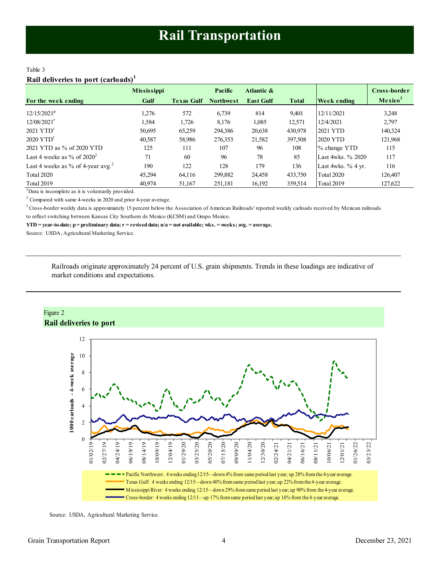# <span id="page-3-0"></span>Table 3 **Rail deliveries to port (carloads)<sup>1</sup>**

|                                               | <b>Mississippi</b> |                   | Pacific          | Atlantic &       |              |                      | Cross-border        |
|-----------------------------------------------|--------------------|-------------------|------------------|------------------|--------------|----------------------|---------------------|
| For the week ending                           | Gulf               | <b>Texas Gulf</b> | <b>Northwest</b> | <b>East Gulf</b> | <b>Total</b> | Week ending          | Mexico <sup>3</sup> |
| $12/15/2021^p$                                | 1.276              | 572               | 6,739            | 814              | 9,401        | 12/11/2021           | 3,248               |
| $12/08/2021$ <sup>r</sup>                     | 1,584              | 1,726             | 8,176            | 1,085            | 12,571       | 12/4/2021            | 2,797               |
| $2021$ YTD <sup>r</sup>                       | 50,695             | 65,259            | 294,386          | 20,638           | 430,978      | 2021 YTD             | 140,324             |
| $2020$ YTD <sup>r</sup>                       | 40,587             | 58,986            | 276,353          | 21,582           | 397,508      | 2020 YTD             | 121,968             |
| 2021 YTD as % of 2020 YTD                     | 125                | 111               | 107              | 96               | 108          | % change YTD         | 115                 |
| Last 4 weeks as $\%$ of 2020 <sup>2</sup>     | 71                 | 60                | 96               | 78               | 85           | Last 4wks, % 2020    | 117                 |
| Last 4 weeks as % of 4-year avg. <sup>2</sup> | 190                | 122               | 128              | 179              | 136          | Last 4wks. $%$ 4 yr. | 116                 |
| <b>Total 2020</b>                             | 45.294             | 64,116            | 299,882          | 24,458           | 433,750      | Total 2020           | 126,407             |
| <b>Total 2019</b>                             | 40.974             | 51,167            | 251,181          | 16,192           | 359,514      | Total 2019           | 127,622             |

 $1$ Data is incomplete as it is voluntarily provided.

 $2$  Compared with same 4-weeks in 2020 and prior 4-year average.

<sup>3</sup> Cross-border weekly data is approximately 15 percent below the Association of American Railroads' reported weekly carloads received by Mexican railroads to reflect switching between Kansas City Southern de Mexico (KCSM) and Grupo Mexico.

**YTD = year-to-date; p = preliminary data; r = revised data; n/a = not available; wks. = weeks; avg. = average.**

Source: USDA, Agricultural Marketing Service.

Railroads originate approximately 24 percent of U.S. grain shipments. Trends in these loadings are indicative of market conditions and expectations.



Source: USDA, Agricultural Marketing Service.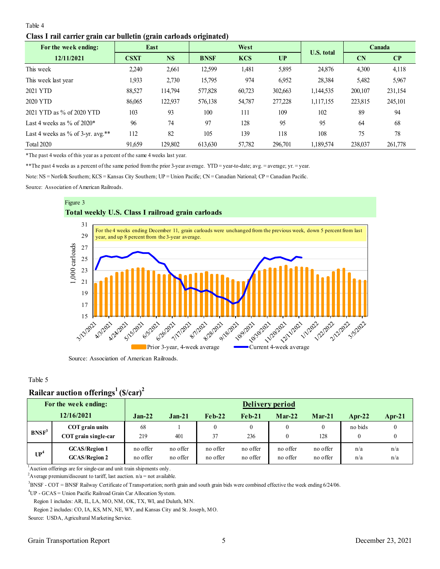## <span id="page-4-0"></span>Table 4

## **Class I rail carrier grain car bulletin (grain carloads originated)**

| $\epsilon$<br>For the week ending: | $\sigma$    | East      | 0           | West       |         | <b>U.S. total</b> |           | Canada                 |
|------------------------------------|-------------|-----------|-------------|------------|---------|-------------------|-----------|------------------------|
| 12/11/2021                         | <b>CSXT</b> | <b>NS</b> | <b>BNSF</b> | <b>KCS</b> | UP      |                   | <b>CN</b> | $\mathbf{C}\mathbf{P}$ |
| This week                          | 2,240       | 2,661     | 12,599      | 1,481      | 5,895   | 24,876            | 4,300     | 4,118                  |
| This week last year                | 1.933       | 2,730     | 15,795      | 974        | 6,952   | 28,384            | 5,482     | 5,967                  |
| 2021 YTD                           | 88,527      | 114,794   | 577,828     | 60,723     | 302,663 | 1,144,535         | 200,107   | 231,154                |
| 2020 YTD                           | 86,065      | 122,937   | 576,138     | 54,787     | 277,228 | 1,117,155         | 223,815   | 245,101                |
| 2021 YTD as % of 2020 YTD          | 103         | 93        | 100         | 111        | 109     | 102               | 89        | 94                     |
| Last 4 weeks as $\%$ of 2020*      | 96          | 74        | 97          | 128        | 95      | 95                | 64        | 68                     |
| Last 4 weeks as % of 3-yr. avg.**  | 112         | 82        | 105         | 139        | 118     | 108               | 75        | 78                     |
| <b>Total 2020</b>                  | 91,659      | 129,802   | 613,630     | 57,782     | 296,701 | 1,189,574         | 238,037   | 261,778                |

\*The past 4 weeks of this year as a percent of the same 4 weeks last year.

\*\*The past 4 weeks as a percent of the same period from the prior 3-year average. YTD = year-to-date; avg. = average; yr. = year.

Note: NS = Norfolk Southern; KCS = Kansas City Southern; UP = Union Pacific; CN = Canadian National; CP = Canadian Pacific.

Source: Association of American Railroads.



Source: Association of American Railroads.

### Table 5

# **Railcar auction offerings<sup>1</sup>(\$/car)<sup>2</sup>**

|                   | For the week ending:                         |                      |                      |                      |                      | Delivery period      |                      |            |            |
|-------------------|----------------------------------------------|----------------------|----------------------|----------------------|----------------------|----------------------|----------------------|------------|------------|
|                   | 12/16/2021                                   | $Jan-22$             | $Jan-21$             | $Feh-22$             | $Feh-21$             | $Mar-22$             | $Mar-21$             | Apr-22     | $Apr-21$   |
| BNSF <sup>3</sup> | COT grain units<br>COT grain single-car      | 68<br>219            | 401                  | 0<br>37              | 236                  |                      | $\theta$<br>128      | no bids    | $\theta$   |
| UP <sup>4</sup>   | <b>GCAS/Region 1</b><br><b>GCAS/Region 2</b> | no offer<br>no offer | no offer<br>no offer | no offer<br>no offer | no offer<br>no offer | no offer<br>no offer | no offer<br>no offer | n/a<br>n/a | n/a<br>n/a |

<sup>1</sup>Auction offerings are for single-car and unit train shipments only.

<sup>2</sup>Average premium/discount to tariff, last auction.  $n/a = not$  available.

<sup>3</sup>BNSF - COT = BNSF Railway Certificate of Transportation; north grain and south grain bids were combined effective the week ending 6/24/06.

<sup>4</sup>UP - GCAS = Union Pacific Railroad Grain Car Allocation System.

Region 1 includes: AR, IL, LA, MO, NM, OK, TX, WI, and Duluth, MN.

Region 2 includes: CO, IA, KS, MN, NE, WY, and Kansas City and St. Joseph, MO.

Source: USDA, Agricultural Marketing Service.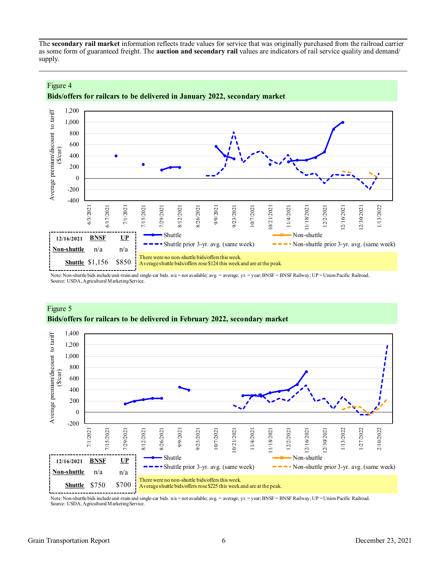The **secondary rail market** information reflects trade values for service that was originally purchased from the railroad carrier as some form of guaranteed freight. The **auction and secondary rail** values are indicators of rail service quality and demand/ supply.



# **Bids/offers for railcars to be delivered in January 2022, secondary market**

Note: Non-shuttle bids include unit-train and single-car bids. n/a = not available; avg. = average; yr. = year; BNSF = BNSF Railway; UP = Union Pacific Railroad. Source: USDA, Agricultural Marketing Service.



# Figure 5 **Bids/offers for railcars to be delivered in February 2022, secondary market**

Note: Non-shuttle bids include unit-train and single-car bids. n/a = not available; avg. = average; yr. = year; BNSF = BNSF Railway; UP = Union Pacific Railroad. Source: USDA, Agricultural Marketing Service.

Figure 4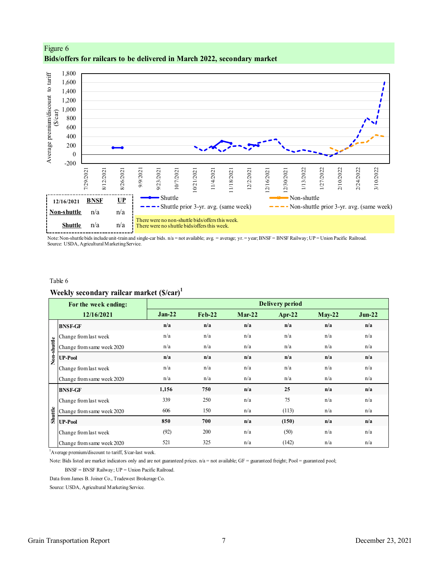

<span id="page-6-0"></span>Figure 6 **Bids/offers for railcars to be delivered in March 2022, secondary market**

Note: Non-shuttle bids include unit-train and single-car bids. n/a = not available; avg. = average; yr. = year; BNSF = BNSF Railway; UP = Union Pacific Railroad. Source: USDA, Agricultural Marketing Service.

#### Table 6

# **Weekly secondary railcar market (\$/car)<sup>1</sup>**

| For the week ending:                                                                                                                                  |          |           |          | <b>Delivery period</b> |          |          |
|-------------------------------------------------------------------------------------------------------------------------------------------------------|----------|-----------|----------|------------------------|----------|----------|
| 12/16/2021                                                                                                                                            | $Jan-22$ | $Fe b-22$ | $Mar-22$ | Apr-22                 | $May-22$ | $Jun-22$ |
| <b>BNSF-GF</b>                                                                                                                                        | n/a      | n/a       | n/a      | n/a                    | n/a      | n/a      |
| Change from last week                                                                                                                                 | n/a      | n/a       | n/a      | n/a                    | n/a      | n/a      |
| Non-shuttle<br>Change from same week 2020                                                                                                             | n/a      | n/a       | n/a      | n/a                    | n/a      | n/a      |
| <b>UP-Pool</b>                                                                                                                                        | n/a      | n/a       | n/a      | n/a                    | n/a      | n/a      |
| Change from last week                                                                                                                                 | n/a      | n/a       | n/a      | n/a                    | n/a      | n/a      |
| Change from same week 2020                                                                                                                            | n/a      | n/a       | n/a      | n/a                    | n/a      | n/a      |
| <b>BNSF-GF</b>                                                                                                                                        | 1,156    | 750       | n/a      | 25                     | n/a      | n/a      |
| Change from last week                                                                                                                                 | 339      | 250       | n/a      | 75                     | n/a      | n/a      |
| Shuttle<br>Change from same week 2020                                                                                                                 | 606      | 150       | n/a      | (113)                  | n/a      | n/a      |
| <b>UP-Pool</b>                                                                                                                                        | 850      | 700       | n/a      | (150)                  | n/a      | n/a      |
| Change from last week                                                                                                                                 | (92)     | 200       | n/a      | (50)                   | n/a      | n/a      |
| Change from same week 2020                                                                                                                            | 521      | 325       | n/a      | (142)                  | n/a      | n/a      |
| <sup>1</sup> Average premium/discount to tariff, \$/car-last week.                                                                                    |          |           |          |                        |          |          |
| Note: Bids listed are market indicators only and are not guaranteed prices. $n/a =$ not available; $GF =$ guaranteed freight; Pool = guaranteed pool; |          |           |          |                        |          |          |
| BNSF = BNSF Railway; UP = Union Pacific Railroad.                                                                                                     |          |           |          |                        |          |          |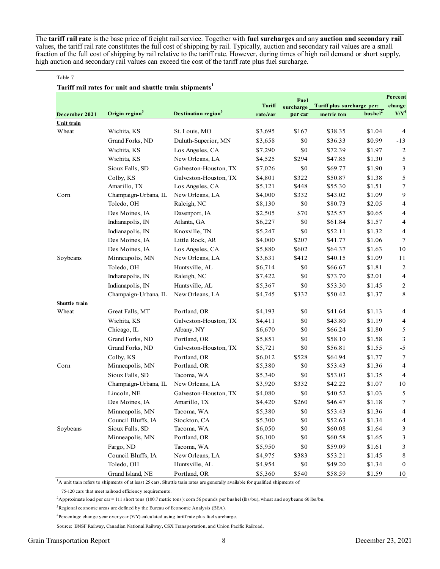The **tariff rail rate** is the base price of freight rail service. Together with **fuel surcharges** and any **auction and secondary rail** values, the tariff rail rate constitutes the full cost of shipping by rail. Typically, auction and secondary rail values are a small fraction of the full cost of shipping by rail relative to the tariff rate. However, during times of high rail demand or short supply, high auction and secondary rail values can exceed the cost of the tariff rate plus fuel surcharge.

#### Table 7

#### **Tariff rail rates for unit and shuttle train shipments<sup>1</sup>**

|               |                            |                                                                                                                                       |          | Fuel      |                            |                     | Percent                  |
|---------------|----------------------------|---------------------------------------------------------------------------------------------------------------------------------------|----------|-----------|----------------------------|---------------------|--------------------------|
|               |                            |                                                                                                                                       | Tariff   | surcharge | Tariff plus surcharge per: |                     | change                   |
| December 2021 | Origin region <sup>3</sup> | Destination region <sup>3</sup>                                                                                                       | rate/car | per car   | metric ton                 | bushel <sup>2</sup> | $Y/Y^4$                  |
| Unit train    |                            |                                                                                                                                       |          |           |                            |                     |                          |
| Wheat         | Wichita, KS                | St. Louis, MO                                                                                                                         | \$3,695  | \$167     | \$38.35                    | \$1.04              | $\overline{4}$           |
|               | Grand Forks, ND            | Duluth-Superior, MN                                                                                                                   | \$3,658  | \$0       | \$36.33                    | \$0.99              | $-13$                    |
|               | Wichita, KS                | Los Angeles, CA                                                                                                                       | \$7,290  | \$0       | \$72.39                    | \$1.97              | 2                        |
|               | Wichita, KS                | New Orleans, LA                                                                                                                       | \$4,525  | \$294     | \$47.85                    | \$1.30              | 5                        |
|               | Sioux Falls, SD            | Galveston-Houston, TX                                                                                                                 | \$7,026  | \$0       | \$69.77                    | \$1.90              | 3                        |
|               | Colby, KS                  | Galveston-Houston, TX                                                                                                                 | \$4,801  | \$322     | \$50.87                    | \$1.38              | 5                        |
|               | Amarillo, TX               | Los Angeles, CA                                                                                                                       | \$5,121  | \$448     | \$55.30                    | \$1.51              | 7                        |
| Corn          | Champaign-Urbana, IL       | New Orleans, LA                                                                                                                       | \$4,000  | \$332     | \$43.02                    | \$1.09              | 9                        |
|               | Toledo, OH                 | Raleigh, NC                                                                                                                           | \$8,130  | \$0       | \$80.73                    | \$2.05              | 4                        |
|               | Des Moines, IA             | Davenport, IA                                                                                                                         | \$2,505  | \$70      | \$25.57                    | \$0.65              | 4                        |
|               | Indianapolis, IN           | Atlanta, GA                                                                                                                           | \$6,227  | \$0       | \$61.84                    | \$1.57              | 4                        |
|               | Indianapolis, IN           | Knoxville, TN                                                                                                                         | \$5,247  | \$0       | \$52.11                    | \$1.32              | 4                        |
|               | Des Moines, IA             | Little Rock, AR                                                                                                                       | \$4,000  | \$207     | \$41.77                    | \$1.06              | 7                        |
|               | Des Moines, IA             | Los Angeles, CA                                                                                                                       | \$5,880  | \$602     | \$64.37                    | \$1.63              | 10                       |
| Soybeans      | Minneapolis, MN            | New Orleans, LA                                                                                                                       | \$3,631  | \$412     | \$40.15                    | \$1.09              | 11                       |
|               | Toledo, OH                 | Huntsville, AL                                                                                                                        | \$6,714  | $\$0$     | \$66.67                    | \$1.81              | $\overline{c}$           |
|               | Indianapolis, IN           | Raleigh, NC                                                                                                                           | \$7,422  | \$0       | \$73.70                    | \$2.01              | $\overline{\mathcal{A}}$ |
|               | Indianapolis, IN           | Huntsville, AL                                                                                                                        | \$5,367  | $\$0$     | \$53.30                    | \$1.45              | $\overline{2}$           |
|               | Champaign-Urbana, IL       | New Orleans, LA                                                                                                                       | \$4,745  | \$332     | \$50.42                    | \$1.37              | 8                        |
| Shuttle train |                            |                                                                                                                                       |          |           |                            |                     |                          |
| Wheat         | Great Falls, MT            | Portland, OR                                                                                                                          | \$4,193  | \$0       | \$41.64                    | \$1.13              | 4                        |
|               | Wichita, KS                | Galveston-Houston, TX                                                                                                                 | \$4,411  | \$0       | \$43.80                    | \$1.19              | 4                        |
|               | Chicago, IL                | Albany, NY                                                                                                                            | \$6,670  | \$0       | \$66.24                    | \$1.80              | 5                        |
|               | Grand Forks, ND            | Portland, OR                                                                                                                          | \$5,851  | \$0       | \$58.10                    | \$1.58              | $\mathfrak{Z}$           |
|               | Grand Forks, ND            | Galveston-Houston, TX                                                                                                                 | \$5,721  | \$0       | \$56.81                    | \$1.55              | $-5$                     |
|               | Colby, KS                  | Portland, OR                                                                                                                          | \$6,012  | \$528     | \$64.94                    | \$1.77              | 7                        |
| Corn          | Minneapolis, MN            | Portland, OR                                                                                                                          | \$5,380  | \$0       | \$53.43                    | \$1.36              | 4                        |
|               | Sioux Falls, SD            | Tacoma, WA                                                                                                                            | \$5,340  | \$0       | \$53.03                    | \$1.35              | 4                        |
|               | Champaign-Urbana, IL       | New Orleans, LA                                                                                                                       | \$3,920  | \$332     | \$42.22                    | \$1.07              | 10                       |
|               | Lincoln, NE                | Galveston-Houston, TX                                                                                                                 | \$4,080  | \$0       | \$40.52                    | \$1.03              | 5                        |
|               | Des Moines, IA             | Amarillo, TX                                                                                                                          | \$4,420  | \$260     | \$46.47                    | \$1.18              | 7                        |
|               | Minneapolis, MN            | Tacoma, WA                                                                                                                            | \$5,380  | \$0       | \$53.43                    | \$1.36              | 4                        |
|               | Council Bluffs, IA         | Stockton, CA                                                                                                                          | \$5,300  | $\$0$     | \$52.63                    | \$1.34              | 4                        |
| Soybeans      | Sioux Falls, SD            | Tacoma, WA                                                                                                                            | \$6,050  | \$0       | \$60.08                    | \$1.64              | 3                        |
|               | Minneapolis, MN            | Portland, OR                                                                                                                          | \$6,100  | \$0       | \$60.58                    | \$1.65              | 3                        |
|               | Fargo, ND                  | Tacoma, WA                                                                                                                            | \$5,950  | \$0       | \$59.09                    | \$1.61              | 3                        |
|               | Council Bluffs, IA         | New Orleans, LA                                                                                                                       | \$4,975  | \$383     | \$53.21                    | \$1.45              | 8                        |
|               | Toledo, OH                 | Huntsville, AL                                                                                                                        | \$4,954  | \$0       | \$49.20                    | \$1.34              | $\bf{0}$                 |
|               | Grand Island, NE           | Portland, OR                                                                                                                          | \$5,360  | \$540     | \$58.59                    | \$1.59              | 10                       |
|               |                            | ${}^{1}$ A unit train refers to shipments of at least 25 cars. Shuttle train rates are generally available for qualified shipments of |          |           |                            |                     |                          |

75-120 cars that meet railroad efficiency requirements.

<sup>2</sup>Approximate load per car = 111 short tons (100.7 metric tons): corn 56 pounds per bushel (lbs/bu), wheat and soybeans 60 lbs/bu.

<sup>3</sup>Regional economic areas are defined by the Bureau of Economic Analysis (BEA).

 $4$ Percentage change year over year (Y/Y) calculated using tariff rate plus fuel surcharge.

Source: BNSF Railway, Canadian National Railway, CSX Transportation, and Union Pacific Railroad.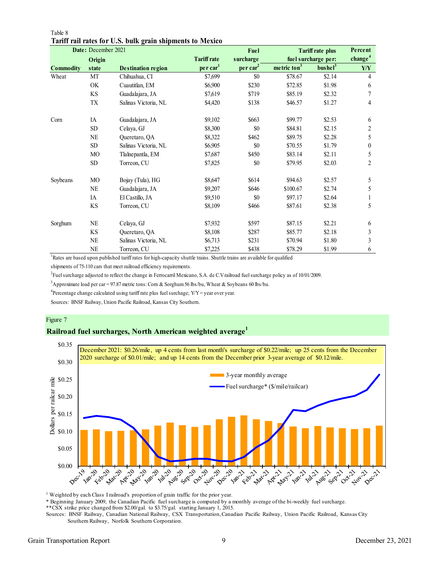|                  | Date: December 2021 |                           |                      | Fuel                 |                         | <b>Tariff rate plus</b> | Percent             |
|------------------|---------------------|---------------------------|----------------------|----------------------|-------------------------|-------------------------|---------------------|
|                  | Origin              |                           | <b>Tariff rate</b>   | surcharge            |                         | fuel surcharge per:     | change <sup>4</sup> |
| <b>Commodity</b> | state               | <b>Destination region</b> | per car <sup>1</sup> | per car <sup>2</sup> | metric ton <sup>3</sup> | bushel <sup>3</sup>     | Y/Y                 |
| Wheat            | MT                  | Chihuahua, CI             | \$7,699              | \$0                  | \$78.67                 | \$2.14                  | 4                   |
|                  | OK                  | Cuautitlan, EM            | \$6,900              | \$230                | \$72.85                 | \$1.98                  | 6                   |
|                  | KS                  | Guadalajara, JA           | \$7,619              | \$719                | \$85.19                 | \$2.32                  | 7                   |
|                  | TX                  | Salinas Victoria, NL      | \$4,420              | \$138                | \$46.57                 | \$1.27                  | 4                   |
| Corn             | IA                  | Guadalajara, JA           | \$9,102              | \$663                | \$99.77                 | \$2.53                  | 6                   |
|                  | <b>SD</b>           | Celaya, GJ                | \$8,300              | \$0                  | \$84.81                 | \$2.15                  | 2                   |
|                  | $\rm NE$            | Queretaro, QA             | \$8,322              | \$462                | \$89.75                 | \$2.28                  | 5                   |
|                  | <b>SD</b>           | Salinas Victoria, NL      | \$6,905              | \$0                  | \$70.55                 | \$1.79                  | $\mathbf{0}$        |
|                  | MO                  | Tlalnepantla, EM          | \$7,687              | \$450                | \$83.14                 | \$2.11                  | 5                   |
|                  | SD <sub></sub>      | Torreon, CU               | \$7,825              | \$0                  | \$79.95                 | \$2.03                  | $\overline{c}$      |
| Soybeans         | MO                  | Bojay (Tula), HG          | \$8,647              | \$614                | \$94.63                 | \$2.57                  | 5                   |
|                  | $\rm NE$            | Guadalajara, JA           | \$9,207              | \$646                | \$100.67                | \$2.74                  | 5                   |
|                  | IA                  | El Castillo, JA           | \$9,510              | \$0                  | \$97.17                 | \$2.64                  |                     |
|                  | <b>KS</b>           | Torreon, CU               | \$8,109              | \$466                | \$87.61                 | \$2.38                  | 5                   |
| Sorghum          | NE                  | Celaya, GJ                | \$7,932              | \$597                | \$87.15                 | \$2.21                  | 6                   |
|                  | <b>KS</b>           | Queretaro, QA             | \$8,108              | \$287                | \$85.77                 | \$2.18                  | 3                   |
|                  | NE                  | Salinas Victoria, NL      | \$6,713              | \$231                | \$70.94                 | \$1.80                  | 3                   |
|                  | NE                  | Torreon, CU               | \$7,225              | \$438                | \$78.29                 | \$1.99                  | 6                   |

Table 8 **Tariff rail rates for U.S. bulk grain shipments to Mexico**

<sup>1</sup>Rates are based upon published tariff rates for high-capacity shuttle trains. Shuttle trains are available for qualified

shipments of 75-110 cars that meet railroad efficiency requirements.

2 Fuel surcharge adjusted to reflect the change in Ferrocarril Mexicano, S.A. de C.V railroad fuel surcharge policy as of 10/01/2009.

<sup>3</sup>Approximate load per car = 97.87 metric tons: Corn & Sorghum 56 lbs/bu, Wheat & Soybeans 60 lbs/bu.

<sup>4</sup>Percentage change calculated using tariff rate plus fuel surchage;  $Y/Y = year$  over year.

Sources: BNSF Railway, Union Pacific Railroad, Kansas City Southern.

## Figure 7

# **Railroad fuel surcharges, North American weighted average<sup>1</sup>**



<sup>1</sup> Weighted by each Class I railroad's proportion of grain traffic for the prior year.

\* Beginning January 2009, the Canadian Pacific fuel surcharge is computed by a monthly average of the bi-weekly fuel surcharge.

\*\*CSX strike price changed from \$2.00/gal. to \$3.75/gal. starting January 1, 2015.

Sources: BNSF Railway, Canadian National Railway, CSX Transportation, Canadian Pacific Railway, Union Pacific Railroad, Kansas City Southern Railway, Norfolk Southern Corporation.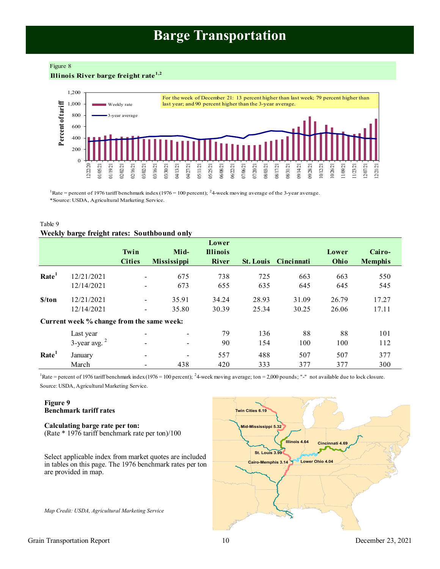# **Barge Transportation**

<span id="page-9-0"></span>Figure 8 **Illinois River barge freight rate1,2**



<sup>1</sup>Rate = percent of 1976 tariff benchmark index (1976 = 100 percent); <sup>2</sup>4 week moving average of the 3-year average. \*Source: USDA, Agricultural Marketing Service.

# Table 9 **Weekly barge freight rates: Southbound only**

|                   |                                           | Twin<br><b>Cities</b> | Mid-<br><b>Mississippi</b> | Lower<br><b>Illinois</b><br><b>River</b> |       | <b>St. Louis</b> Cincinnati | Lower<br>Ohio | Cairo-<br><b>Memphis</b> |
|-------------------|-------------------------------------------|-----------------------|----------------------------|------------------------------------------|-------|-----------------------------|---------------|--------------------------|
| Rate <sup>1</sup> | 12/21/2021                                |                       | 675                        | 738                                      | 725   | 663                         | 663           | 550                      |
|                   | 12/14/2021                                |                       | 673                        | 655                                      | 635   | 645                         | 645           | 545                      |
| \$/ton            | 12/21/2021                                |                       | 35.91                      | 34.24                                    | 28.93 | 31.09                       | 26.79         | 17.27                    |
|                   | 12/14/2021                                | -                     | 35.80                      | 30.39                                    | 25.34 | 30.25                       | 26.06         | 17.11                    |
|                   | Current week % change from the same week: |                       |                            |                                          |       |                             |               |                          |
|                   | Last year                                 |                       |                            | 79                                       | 136   | 88                          | 88            | 101                      |
|                   | $3$ -year avg. $2$                        |                       | $\overline{\phantom{a}}$   | 90                                       | 154   | 100                         | 100           | 112                      |
| Rate <sup>1</sup> | January                                   |                       |                            | 557                                      | 488   | 507                         | 507           | 377                      |
|                   | March                                     |                       | 438                        | 420                                      | 333   | 377                         | 377           | 300                      |

Source: USDA, Agricultural Marketing Service. <sup>1</sup>Rate = percent of 1976 tariff benchmark index (1976 = 100 percent); <sup>2</sup>4-week moving average; ton = 2,000 pounds; "-" not available due to lock closure.

# **Figure 9 Benchmark tariff rates**

## **Calculating barge rate per ton:** (Rate \* 1976 tariff benchmark rate per ton)/100

Select applicable index from market quotes are included in tables on this page. The 1976 benchmark rates per ton are provided in map.

*Map Credit: USDA, Agricultural Marketing Service* 

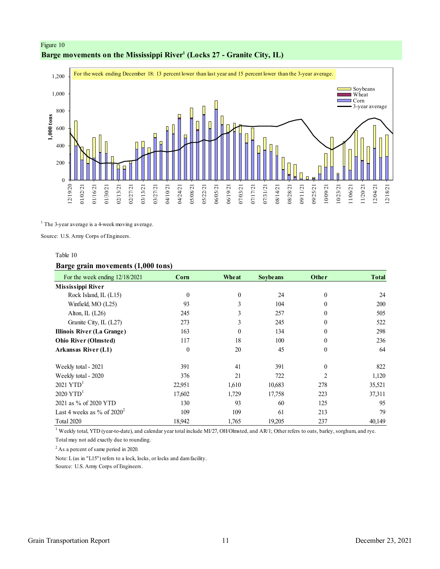# <span id="page-10-0"></span>Figure 10 **Barge movements on the Mississippi River<sup>1</sup> (Locks 27 - Granite City, IL)**



<sup>1</sup> The 3-year average is a 4-week moving average.

Source: U.S. Army Corps of Engineers.

### Table 10

# **Barge grain movements (1,000 tons)**

| For the week ending 12/18/2021    | Corn     | Wheat    | <b>Soybe ans</b> | Other          | <b>Total</b> |
|-----------------------------------|----------|----------|------------------|----------------|--------------|
| <b>Mississippi River</b>          |          |          |                  |                |              |
| Rock Island, IL (L15)             | $\theta$ | $\theta$ | 24               | $\theta$       | 24           |
| Winfield, MO (L25)                | 93       | 3        | 104              | $\Omega$       | 200          |
| Alton, IL (L26)                   | 245      | 3        | 257              | $\Omega$       | 505          |
| Granite City, IL (L27)            | 273      | 3        | 245              | $\theta$       | 522          |
| <b>Illinois River (La Grange)</b> | 163      | $\theta$ | 134              | $\theta$       | 298          |
| <b>Ohio River (Olmsted)</b>       | 117      | 18       | 100              | $\theta$       | 236          |
| Arkansas River (L1)               | $\theta$ | 20       | 45               | $\theta$       | 64           |
| Weekly total - 2021               | 391      | 41       | 391              | $\theta$       | 822          |
| Weekly total - 2020               | 376      | 21       | 722              | $\mathfrak{D}$ | 1,120        |
| $2021$ YTD <sup>1</sup>           | 22.951   | 1,610    | 10,683           | 278            | 35,521       |
| $2020$ YTD <sup>1</sup>           | 17,602   | 1,729    | 17,758           | 223            | 37,311       |
| 2021 as % of 2020 YTD             | 130      | 93       | 60               | 125            | 95           |
| Last 4 weeks as % of $2020^2$     | 109      | 109      | 61               | 213            | 79           |
| Total 2020                        | 18,942   | 1,765    | 19,205           | 237            | 40,149       |

<sup>1</sup> Weekly total, YTD (year-to-date), and calendar year total include MI/27, OH/Olmsted, and AR/1; Other refers to oats, barley, sorghum, and rye.

Total may not add exactly due to rounding..

<sup>2</sup> As a percent of same period in 2020.

Note: L (as in "L15") refers to a lock, locks, or locks and dam facility.

Source: U.S. Army Corps of Engineers.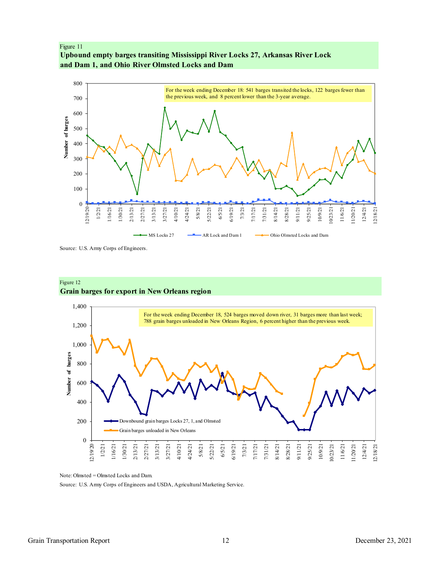<span id="page-11-0"></span>



Source: U.S. Army Corps of Engineers.



## Figure 12 **Grain barges for export in New Orleans region**

Note: Olmsted = Olmsted Locks and Dam.

0

12/19/20 1/2/21 1/16/21 1/30/21 2/13/21 2/27/21 3/13/21 3/27/21 4/10/21 4/24/21 5/8/21 5/22/21 6/5/21 6/19/21 7/3/21 7/17/21 7/31/21 8/14/21 8/28/21 9/11/21 9/25/21 10/9/21 10/23/21 11/6/21 11/20/21 12/4/21 12/18/21

200

Source: U.S. Army Corps of Engineers and USDA, Agricultural Marketing Service.

Downbound grain barges Locks 27, 1, and Olmsted

Grain barges unloaded in New Orleans

# 800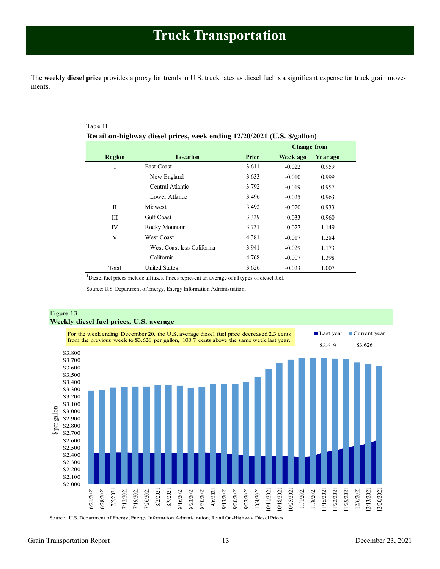<span id="page-12-0"></span>The **weekly diesel price** provides a proxy for trends in U.S. truck rates as diesel fuel is a significant expense for truck grain movements.

|             |                            |       | <b>Change from</b> |          |
|-------------|----------------------------|-------|--------------------|----------|
| Region      | <b>Location</b>            | Price | Week ago           | Year ago |
| Ι           | <b>East Coast</b>          | 3.611 | $-0.022$           | 0.959    |
|             | New England                | 3.633 | $-0.010$           | 0.999    |
|             | Central Atlantic           | 3.792 | $-0.019$           | 0.957    |
|             | Lower Atlantic             | 3.496 | $-0.025$           | 0.963    |
| $_{\rm II}$ | Midwest                    | 3.492 | $-0.020$           | 0.933    |
| Ш           | <b>Gulf</b> Coast          | 3.339 | $-0.033$           | 0.960    |
| IV          | Rocky Mountain             | 3.731 | $-0.027$           | 1.149    |
| V           | <b>West Coast</b>          | 4.381 | $-0.017$           | 1.284    |
|             | West Coast less California | 3.941 | $-0.029$           | 1.173    |
|             | California                 | 4.768 | $-0.007$           | 1.398    |
| Total       | <b>United States</b>       | 3.626 | $-0.023$           | 1.007    |

<sup>1</sup>Diesel fuel prices include all taxes. Prices represent an average of all types of diesel fuel.

Source: U.S. Department of Energy, Energy Information Administration.



Source: U.S. Department of Energy, Energy Information Administration, Retail On-Highway Diesel Prices.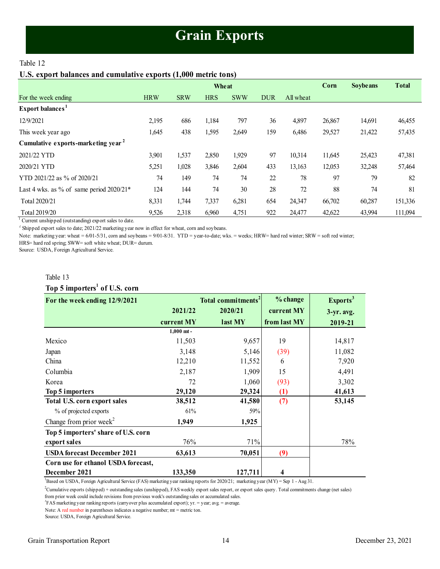# **Grain Exports**

# <span id="page-13-1"></span><span id="page-13-0"></span>Table 12

# **U.S. export balances and cumulative exports (1,000 metric tons)**

|                                                |            |            | Wheat      |            |            |           | Corn   | <b>Soybeans</b> | <b>Total</b> |
|------------------------------------------------|------------|------------|------------|------------|------------|-----------|--------|-----------------|--------------|
| For the week ending                            | <b>HRW</b> | <b>SRW</b> | <b>HRS</b> | <b>SWW</b> | <b>DUR</b> | All wheat |        |                 |              |
| Export balances <sup>1</sup>                   |            |            |            |            |            |           |        |                 |              |
| 12/9/2021                                      | 2,195      | 686        | 1,184      | 797        | 36         | 4,897     | 26,867 | 14,691          | 46,455       |
| This week year ago                             | 1,645      | 438        | 1,595      | 2,649      | 159        | 6,486     | 29,527 | 21,422          | 57,435       |
| Cumulative exports-marketing year <sup>2</sup> |            |            |            |            |            |           |        |                 |              |
| 2021/22 YTD                                    | 3,901      | 1,537      | 2,850      | 1,929      | 97         | 10,314    | 11,645 | 25,423          | 47,381       |
| 2020/21 YTD                                    | 5,251      | 1,028      | 3,846      | 2,604      | 433        | 13,163    | 12,053 | 32,248          | 57,464       |
| YTD 2021/22 as % of 2020/21                    | 74         | 149        | 74         | 74         | 22         | 78        | 97     | 79              | 82           |
| Last 4 wks. as % of same period $2020/21*$     | 124        | 144        | 74         | 30         | 28         | 72        | 88     | 74              | 81           |
| Total 2020/21                                  | 8,331      | 1,744      | 7,337      | 6,281      | 654        | 24,347    | 66,702 | 60,287          | 151,336      |
| Total 2019/20                                  | 9,526      | 2,318      | 6,960      | 4,751      | 922        | 24,477    | 42,622 | 43,994          | 111,094      |

<sup>1</sup> Current unshipped (outstanding) export sales to date.

 $2^2$  Shipped export sales to date; 2021/22 marketing year now in effect for wheat, corn and soybeans.

Note: marketing year: wheat = 6/01-5/31, corn and soybeans = 9/01-8/31. YTD = year-to-date; wks. = weeks; HRW= hard red winter; SRW = soft red winter;

HRS= hard red spring; SWW= soft white wheat; DUR= durum.

Source: USDA, Foreign Agricultural Service.

## Table 13

# **Top 5 importers<sup>1</sup> of U.S. corn**

| Table 13                                  |              |                                |              |                      |  |
|-------------------------------------------|--------------|--------------------------------|--------------|----------------------|--|
| Top 5 importers <sup>1</sup> of U.S. corn |              |                                |              |                      |  |
| For the week ending 12/9/2021             |              | Total commitments <sup>2</sup> | % change     | Exports <sup>3</sup> |  |
|                                           | 2021/22      | 2020/21                        | current MY   | $3-yr$ . avg.        |  |
|                                           | current MY   | last MY                        | from last MY | 2019-21              |  |
|                                           | $1,000$ mt - |                                |              |                      |  |
| Mexico                                    | 11,503       | 9,657                          | 19           | 14,817               |  |
| Japan                                     | 3,148        | 5,146                          | (39)         | 11,082               |  |
| China                                     | 12,210       | 11,552                         | 6            | 7,920                |  |
| Columbia                                  | 2,187        | 1,909                          | 15           | 4,491                |  |
| Korea                                     | 72           | 1,060                          | (93)         | 3,302                |  |
| Top 5 importers                           | 29,120       | 29,324                         | (1)          | 41,613               |  |
| Total U.S. corn export sales              | 38,512       | 41,580                         | (7)          | 53,145               |  |
| % of projected exports                    | 61%          | 59%                            |              |                      |  |
| Change from prior week <sup>2</sup>       | 1,949        | 1,925                          |              |                      |  |
| Top 5 importers' share of U.S. corn       |              |                                |              |                      |  |
| export sales                              | 76%          | 71%                            |              | 78%                  |  |
| <b>USDA</b> forecast December 2021        | 63,613       | 70,051                         | (9)          |                      |  |
| Corn use for ethanol USDA forecast,       |              |                                |              |                      |  |
| December 2021                             | 133,350      | 127,711                        | 4            |                      |  |

 ${}^{1}$ Based on USDA, Foreign Agricultural Service (FAS) marketing year ranking reports for 2020/21; marketing year (MY) = Sep 1 - Aug 31.

<sup>2</sup>Cumulative exports (shipped) + outstanding sales (unshipped), FAS weekly export sales report, or export sales query. Total commitments change (net sales)

<sup>3</sup>FAS marketing year ranking reports (carryover plus accumulated export); yr. = year; avg. = average. from prior week could include revisions from previous week's outstanding sales or accumulated sales.

Note: A red number in parentheses indicates a negative number; mt = metric ton.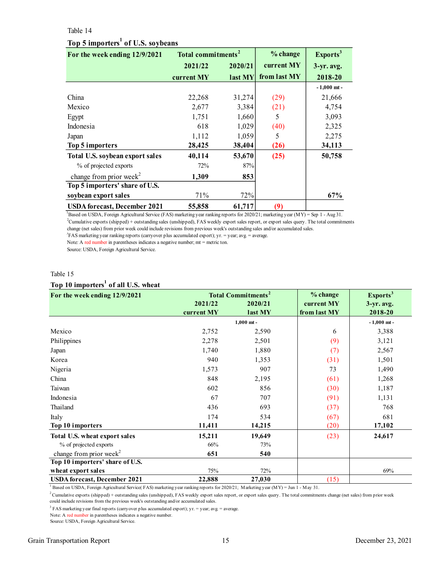## <span id="page-14-0"></span>Table 14

# **Top 5 importers<sup>1</sup> of U.S. soybeans**

| Table 14                                      |                                |         |              |                      |  |  |  |
|-----------------------------------------------|--------------------------------|---------|--------------|----------------------|--|--|--|
| Top 5 importers <sup>1</sup> of U.S. soybeans |                                |         |              |                      |  |  |  |
| For the week ending 12/9/2021                 | Total commitments <sup>2</sup> |         | % change     | Exports <sup>3</sup> |  |  |  |
|                                               | 2021/22                        | 2020/21 | current MY   | $3-yr$ . avg.        |  |  |  |
|                                               | current MY                     | last MY | from last MY | 2018-20              |  |  |  |
|                                               |                                |         |              | $-1,000$ mt -        |  |  |  |
| China                                         | 22,268                         | 31,274  | (29)         | 21,666               |  |  |  |
| Mexico                                        | 2,677                          | 3,384   | (21)         | 4,754                |  |  |  |
| Egypt                                         | 1,751                          | 1,660   | 5            | 3,093                |  |  |  |
| Indonesia                                     | 618                            | 1,029   | (40)         | 2,325                |  |  |  |
| Japan                                         | 1,112                          | 1,059   | 5            | 2,275                |  |  |  |
| Top 5 importers                               | 28,425                         | 38,404  | (26)         | 34,113               |  |  |  |
| Total U.S. soybean export sales               | 40,114                         | 53,670  | (25)         | 50,758               |  |  |  |
| % of projected exports                        | 72%                            | 87%     |              |                      |  |  |  |
| change from prior week <sup>2</sup>           | 1,309                          | 853     |              |                      |  |  |  |
| Top 5 importers' share of U.S.                |                                |         |              |                      |  |  |  |
| soybean export sales                          | 71%                            | 72%     |              | 67%                  |  |  |  |
| <b>USDA</b> forecast, December 2021           | 55,858                         | 61,717  | (9)          |                      |  |  |  |

<sup>1</sup>Based on USDA, Foreign Agricultural Service (FAS) marketing year ranking reports for 2020/21; marketing year (MY) = Sep 1 - Aug 31.  ${}^{3}$ FAS marketing year ranking reports (carryover plus accumulated export); yr. = year; avg. = average. <sup>2</sup>Cumulative exports (shipped) + outstanding sales (unshipped), FAS weekly export sales report, or export sales query. The total commitments change (net sales) from prior week could include revisions from previous week's outstanding sales and/or accumulated sales.

Note: A red number in parentheses indicates a negative number; mt = metric ton.

Source: USDA, Foreign Agricultural Service.

#### Table 15

# **Top 10 importers<sup>1</sup> of all U.S. wheat**

| Table 15                                        |                                                                                     |              |                                        |                                               |
|-------------------------------------------------|-------------------------------------------------------------------------------------|--------------|----------------------------------------|-----------------------------------------------|
| Top 10 importers <sup>1</sup> of all U.S. wheat |                                                                                     |              |                                        |                                               |
| For the week ending 12/9/2021                   | <b>Total Commitments<sup>2</sup></b><br>2021/22<br>2020/21<br>current MY<br>last MY |              | % change<br>current MY<br>from last MY | Exports <sup>3</sup><br>3-yr. avg.<br>2018-20 |
|                                                 |                                                                                     | $1,000$ mt - |                                        | $-1,000$ mt -                                 |
| Mexico                                          | 2,752                                                                               | 2,590        | 6                                      | 3,388                                         |
| Philippines                                     | 2,278                                                                               | 2,501        | (9)                                    | 3,121                                         |
| Japan                                           | 1,740                                                                               | 1,880        | (7)                                    | 2,567                                         |
| Korea                                           | 940                                                                                 | 1,353        | (31)                                   | 1,501                                         |
| Nigeria                                         | 1,573                                                                               | 907          | 73                                     | 1,490                                         |
| China                                           | 848                                                                                 | 2,195        | (61)                                   | 1,268                                         |
| Taiwan                                          | 602                                                                                 | 856          | (30)                                   | 1,187                                         |
| Indonesia                                       | 67                                                                                  | 707          | (91)                                   | 1,131                                         |
| Thailand                                        | 436                                                                                 | 693          | (37)                                   | 768                                           |
| Italy                                           | 174                                                                                 | 534          | (67)                                   | 681                                           |
| Top 10 importers                                | 11,411                                                                              | 14,215       | (20)                                   | 17,102                                        |
| Total U.S. wheat export sales                   | 15,211                                                                              | 19,649       | (23)                                   | 24,617                                        |
| % of projected exports                          | 66%                                                                                 | 73%          |                                        |                                               |
| change from prior week <sup>2</sup>             | 651                                                                                 | 540          |                                        |                                               |
| Top 10 importers' share of U.S.                 |                                                                                     |              |                                        |                                               |
| wheat export sales                              | 75%                                                                                 | 72%          |                                        | 69%                                           |
| <b>USDA</b> forecast, December 2021             | 22,888                                                                              | 27,030       | (15)                                   |                                               |

<sup>1</sup> Based on USDA, Foreign Agricultural Service( FAS) marketing year ranking reports for 2020/21; Marketing year (MY) = Jun 1 - May 31.

 $2$ Cumulative exports (shipped) + outstanding sales (unshipped), FAS weekly export sales report, or export sales query. The total commitments change (net sales) from prior week could include revisions from the previous week's outstanding and/or accumulated sales.

<sup>3</sup> FAS marketing year final reports (carryover plus accumulated export); yr. = year; avg. = average.

Note: A red number in parentheses indicates a negative number.

Source: USDA, Foreign Agricultural Service.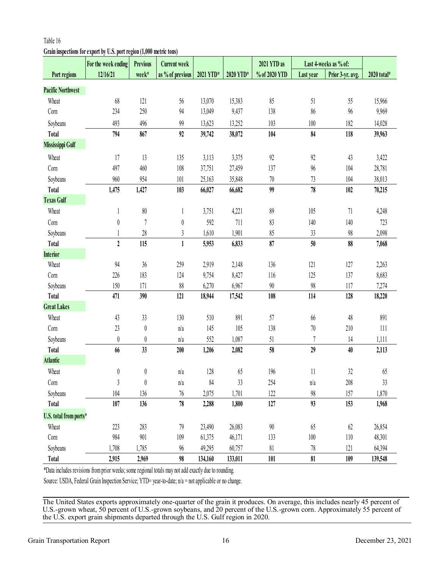# **Grain inspections for export by U.S. port region (1,000 metric tons)**

|                          | For the week ending                                                                                     | <b>Previous</b>  | <b>Current week</b> |           |           | 2021 YTD as   |           | Last 4-weeks as % of: |             |
|--------------------------|---------------------------------------------------------------------------------------------------------|------------------|---------------------|-----------|-----------|---------------|-----------|-----------------------|-------------|
| Port regions             | 12/16/21                                                                                                | week*            | as % of previous    | 2021 YTD* | 2020 YTD* | % of 2020 YTD | Last year | Prior 3-yr. avg.      | 2020 total* |
| <b>Pacific Northwest</b> |                                                                                                         |                  |                     |           |           |               |           |                       |             |
| Wheat                    | 68                                                                                                      | 121              | 56                  | 13,070    | 15,383    | 85            | 51        | 55                    | 15,966      |
| Corn                     | 234                                                                                                     | 250              | 94                  | 13,049    | 9,437     | 138           | 86        | 96                    | 9,969       |
| Soybeans                 | 493                                                                                                     | 496              | 99                  | 13,623    | 13,252    | 103           | 100       | 182                   | 14,028      |
| <b>Total</b>             | 794                                                                                                     | 867              | 92                  | 39,742    | 38,072    | 104           | 84        | 118                   | 39,963      |
| Mississippi Gulf         |                                                                                                         |                  |                     |           |           |               |           |                       |             |
| Wheat                    | 17                                                                                                      | 13               | 135                 | 3,113     | 3,375     | $92$          | 92        | 43                    | 3,422       |
| Corn                     | 497                                                                                                     | 460              | 108                 | 37,751    | 27,459    | 137           | 96        | 104                   | 28,781      |
| Soybeans                 | 960                                                                                                     | 954              | 101                 | 25,163    | 35,848    | $70\,$        | 73        | 104                   | 38,013      |
| Total                    | 1,475                                                                                                   | 1,427            | 103                 | 66,027    | 66,682    | 99            | 78        | 102                   | 70,215      |
| <b>Texas Gulf</b>        |                                                                                                         |                  |                     |           |           |               |           |                       |             |
| Wheat                    | 1                                                                                                       | $80\,$           | 1                   | 3,751     | 4,221     | 89            | 105       | 71                    | 4,248       |
| Corn                     | $\boldsymbol{0}$                                                                                        | $\overline{7}$   | $\boldsymbol{0}$    | 592       | 711       | 83            | 140       | 140                   | 723         |
| Soybeans                 |                                                                                                         | 28               | $\mathfrak z$       | 1,610     | 1,901     | 85            | 33        | 98                    | 2,098       |
| <b>Total</b>             | $\overline{2}$                                                                                          | 115              | $\mathbf 1$         | 5,953     | 6,833     | 87            | 50        | 88                    | 7,068       |
| <b>Interior</b>          |                                                                                                         |                  |                     |           |           |               |           |                       |             |
| Wheat                    | 94                                                                                                      | 36               | 259                 | 2,919     | 2,148     | 136           | 121       | 127                   | 2,263       |
| Corn                     | 226                                                                                                     | 183              | 124                 | 9,754     | 8,427     | 116           | 125       | 137                   | 8,683       |
| Soybeans                 | 150                                                                                                     | 171              | 88                  | 6,270     | 6,967     | $90\,$        | 98        | 117                   | 7,274       |
| <b>Total</b>             | 471                                                                                                     | 390              | 121                 | 18,944    | 17,542    | 108           | 114       | 128                   | 18,220      |
| <b>Great Lakes</b>       |                                                                                                         |                  |                     |           |           |               |           |                       |             |
| Wheat                    | 43                                                                                                      | 33               | 130                 | 510       | 891       | 57            | 66        | 48                    | 891         |
| Corn                     | 23                                                                                                      | $\boldsymbol{0}$ | n/a                 | 145       | 105       | 138           | $70\,$    | 210                   | 111         |
| Soybeans                 | $\boldsymbol{0}$                                                                                        | 0                | n/a                 | 552       | 1,087     | $51\,$        | 7         | 14                    | 1,111       |
| <b>Total</b>             | 66                                                                                                      | 33               | 200                 | 1,206     | 2,082     | 58            | 29        | 40                    | 2,113       |
| <b>Atlantic</b>          |                                                                                                         |                  |                     |           |           |               |           |                       |             |
| Wheat                    | $\boldsymbol{0}$                                                                                        | $\boldsymbol{0}$ | n/a                 | 128       | 65        | 196           | 11        | 32                    | 65          |
| Corn                     | 3                                                                                                       | $\theta$         | n/a                 | 84        | 33        | 254           | n/a       | 208                   | 33          |
| Soybeans                 | 104                                                                                                     | 136              | 76                  | 2,075     | 1,701     | 122           | 98        | 157                   | 1,870       |
| Total                    | 107                                                                                                     | 136              | 78                  | 2,288     | 1,800     | 127           | 93        | 153                   | 1,968       |
| U.S. total from ports*   |                                                                                                         |                  |                     |           |           |               |           |                       |             |
| Wheat                    | 223                                                                                                     | 283              | 79                  | 23,490    | 26,083    | 90            | 65        | 62                    | 26,854      |
| Corn                     | 984                                                                                                     | 901              | 109                 | 61,375    | 46,171    | 133           | 100       | 110                   | 48,301      |
| Soybeans                 | 1,708                                                                                                   | 1,785            | 96                  | 49,295    | 60,757    | 81            | 78        | 121                   | 64,394      |
| Total                    | 2,915                                                                                                   | 2,969            | 98                  | 134,160   | 133,011   | 101           | 81        | 109                   | 139,548     |
|                          | *Data includes revisions from prior weeks; some regional totals may not add exactly due to rounding.    |                  |                     |           |           |               |           |                       |             |
|                          | Source: USDA, Federal Grain Inspection Service; YTD= year-to-date; $n/a$ = not applicable or no change. |                  |                     |           |           |               |           |                       |             |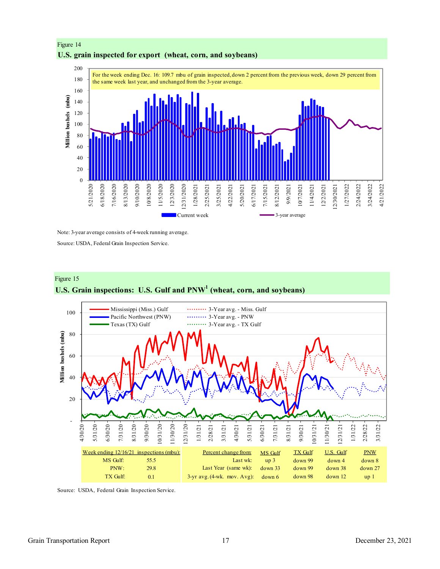

# Figure 14 **U.S. grain inspected for export (wheat, corn, and soybeans)**

Note: 3-year average consists of 4-week running average.

Source: USDA, Federal Grain Inspection Service.





Source: USDA, Federal Grain Inspection Service.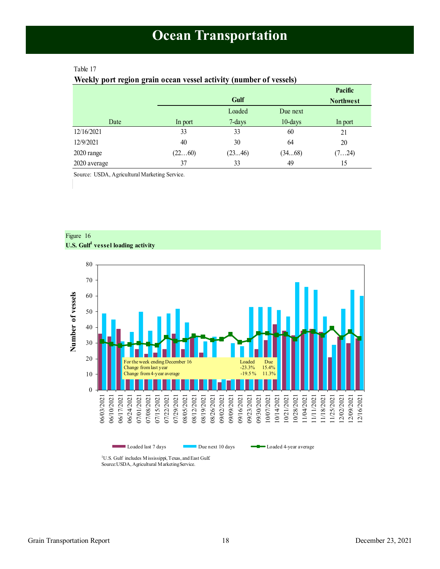# <span id="page-17-1"></span><span id="page-17-0"></span>Table 17

# **Weekly port region grain ocean vessel activity (number of vessels)**

|              |         |        |          | Pacific          |
|--------------|---------|--------|----------|------------------|
|              |         | Gulf   |          | <b>Northwest</b> |
|              |         | Loaded | Due next |                  |
| Date         | In port | 7-days | 10-days  | In port          |
| 12/16/2021   | 33      | 33     | 60       | 21               |
| 12/9/2021    | 40      | 30     | 64       | 20               |
| 2020 range   | (2260)  | (2346) | (3468)   | (724)            |
| 2020 average | 37      | 33     | 49       | 15               |

Source: USDA, Agricultural Marketing Service.





Loaded last 7 days Due next 10 days **Demand A** Loaded 4-year average

<sup>1</sup>U.S. Gulf includes Mississippi, Texas, and East Gulf. Source:USDA, Agricultural Marketing Service.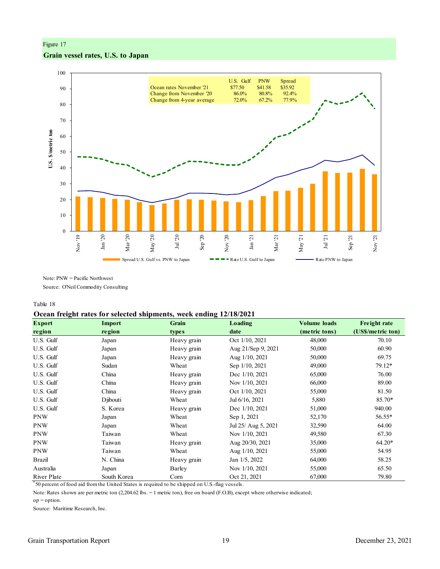# Figure 17 **Grain vessel rates, U.S. to Japan**



Note: PNW = Pacific Northwest

Source: O'Neil Commodity Consulting

Table 18

#### **Ocean freight rates for selected shipments, week ending 12/18/2021**

| <b>Export</b> | <b>Import</b> | Grain       | Loading             | <b>Volume loads</b> | <b>Freight rate</b> |
|---------------|---------------|-------------|---------------------|---------------------|---------------------|
| region        | region        | types       | date                | (metric tons)       | (US\$/metric ton)   |
| U.S. Gulf     | Japan         | Heavy grain | Oct 1/10, 2021      | 48,000              | 70.10               |
| U.S. Gulf     | Japan         | Heavy grain | Aug 21/Sep 9, 2021  | 50,000              | 60.90               |
| U.S. Gulf     | Japan         | Heavy grain | Aug 1/10, 2021      | 50,000              | 69.75               |
| U.S. Gulf     | Sudan         | Wheat       | Sep 1/10, 2021      | 49,000              | 79.12*              |
| U.S. Gulf     | China         | Heavy grain | Dec 1/10, 2021      | 65,000              | 76.00               |
| U.S. Gulf     | China         | Heavy grain | Nov 1/10, 2021      | 66,000              | 89.00               |
| U.S. Gulf     | China         | Heavy grain | Oct 1/10, 2021      | 55,000              | 81.50               |
| U.S. Gulf     | Djibouti      | Wheat       | Jul 6/16, 2021      | 5,880               | 85.70*              |
| U.S. Gulf     | S. Korea      | Heavy grain | Dec 1/10, 2021      | 51,000              | 940.00              |
| <b>PNW</b>    | Japan         | Wheat       | Sep 1, 2021         | 52,170              | 56.55*              |
| <b>PNW</b>    | Japan         | Wheat       | Jul 25/ Aug 5, 2021 | 32,590              | 64.00               |
| <b>PNW</b>    | Taiwan        | Wheat       | Nov 1/10, 2021      | 49,580              | 67.30               |
| <b>PNW</b>    | Taiwan        | Heavy grain | Aug 20/30, 2021     | 35,000              | $64.20*$            |
| <b>PNW</b>    | Taiwan        | Wheat       | Aug 1/10, 2021      | 55,000              | 54.95               |
| Brazil        | N. China      | Heavy grain | Jan 1/5, 2022       | 64,000              | 58.25               |
| Australia     | Japan         | Barley      | Nov 1/10, 2021      | 55,000              | 65.50               |
| River Plate   | South Korea   | Corn        | Oct 21, 2021        | 67,000              | 79.80               |

\* 50 percent of food aid from the United States is required to be shipped on U.S.-flag vessels.

Note: Rates shown are per metric ton (2,204.62 lbs. = 1 metric ton), free on board (F.O.B), except where otherwise indicated;

op = option.

Source: Maritime Research, Inc.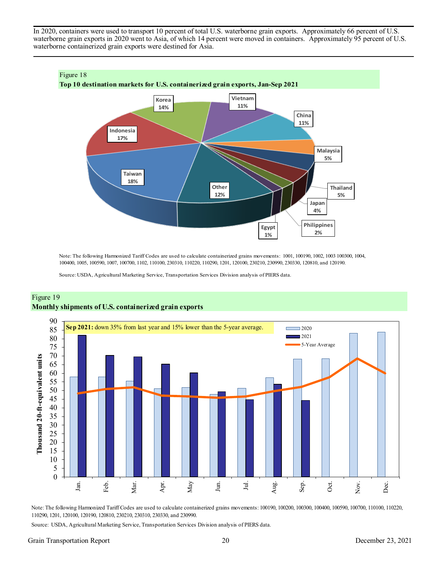In 2020, containers were used to transport 10 percent of total U.S. waterborne grain exports. Approximately 66 percent of U.S. waterborne grain exports in 2020 went to Asia, of which 14 percent were moved in containers. Approximately 95 percent of U.S. waterborne containerized grain exports were destined for Asia.



Note: The following Harmonized Tariff Codes are used to calculate containerized grains movements: 1001, 100190, 1002, 1003 100300, 1004, 100400, 1005, 100590, 1007, 100700, 1102, 110100, 230310, 110220, 110290, 1201, 120100, 230210, 230990, 230330, 120810, and 120190.

Source: USDA, Agricultural Marketing Service, Transportation Services Division analysis of PIERS data.



# Figure 19 **Monthly shipments of U.S. containerized grain exports**

Note: The following Harmonized Tariff Codes are used to calculate containerized grains movements: 100190, 100200, 100300, 100400, 100590, 100700, 110100, 110220, 110290, 1201, 120100, 120190, 120810, 230210, 230310, 230330, and 230990.

Source: USDA, Agricultural Marketing Service, Transportation Services Division analysis of PIERS data.

#### Grain Transportation Report 20 20 December 23, 2021